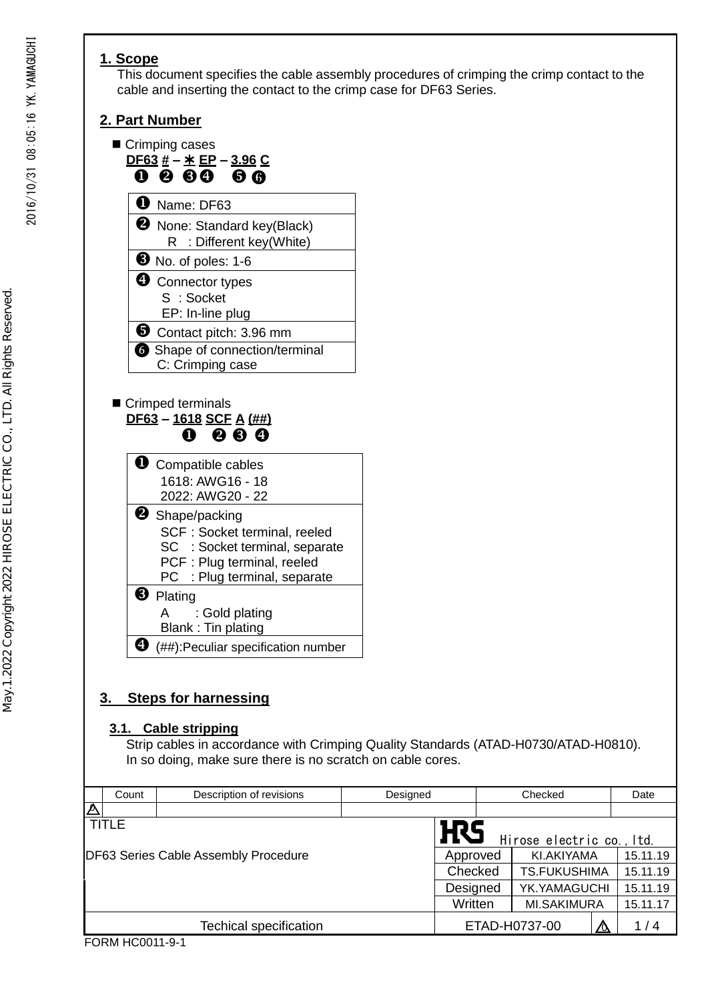### **1. Scope**

This document specifies the cable assembly procedures of crimping the crimp contact to the cable and inserting the contact to the crimp case for DF63 Series.

### **2. Part Number**



# **3. Steps for harnessing**

### **3.1. Cable stripping**

Strip cables in accordance with Crimping Quality Standards (ATAD-H0730/ATAD-H0810). In so doing, make sure there is no scratch on cable cores.

|                                                             | Count | Description of revisions | Designed |                                         | Checked |                     |     | Date     |
|-------------------------------------------------------------|-------|--------------------------|----------|-----------------------------------------|---------|---------------------|-----|----------|
| $\Delta$                                                    |       |                          |          |                                         |         |                     |     |          |
| <b>TITLE</b><br><b>DF63 Series Cable Assembly Procedure</b> |       |                          |          | <b>H</b> S<br>Hirose electric co., Itd. |         |                     |     |          |
|                                                             |       |                          |          | Approved                                |         | KI.AKIYAMA          |     | 15.11.19 |
|                                                             |       |                          |          | Checked                                 |         | <b>TS.FUKUSHIMA</b> |     | 15.11.19 |
|                                                             |       |                          |          | Designed                                |         | YK.YAMAGUCHI        |     | 15.11.19 |
|                                                             |       |                          |          | Written                                 |         | <b>MI.SAKIMURA</b>  |     | 15.11.17 |
| <b>Techical specification</b>                               |       |                          |          | ETAD-H0737-00<br>᠘                      |         |                     | 1/4 |          |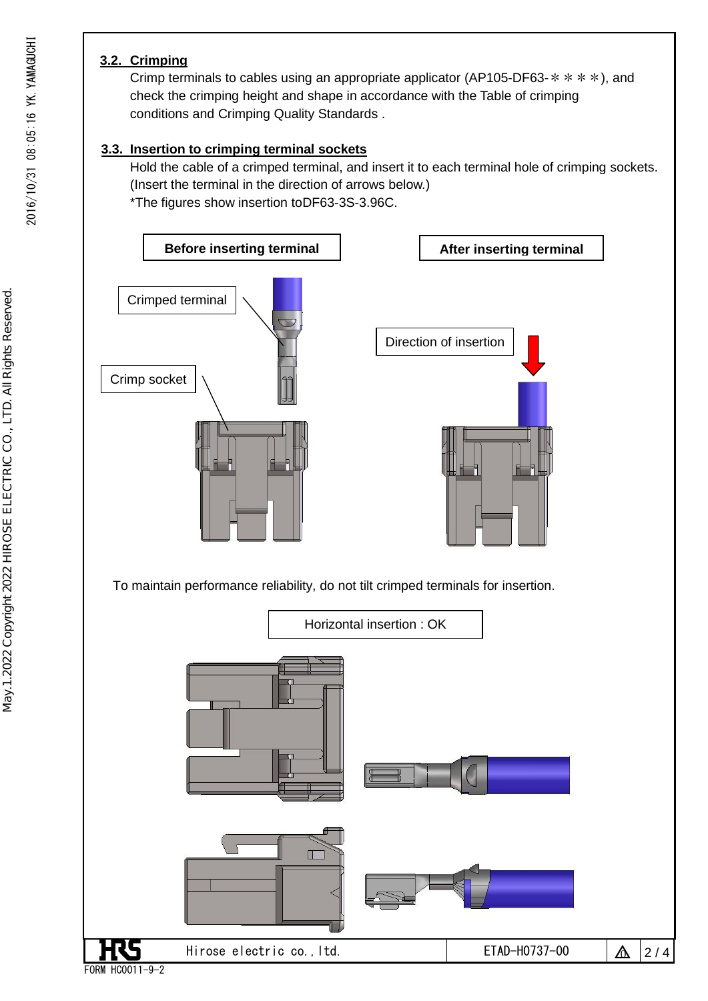### **3.2. Crimping**

Crimp terminals to cables using an appropriate applicator (AP105-DF63- $*$  \*  $*$ ), and check the crimping height and shape in accordance with the Table of crimping conditions and Crimping Quality Standards .

### **3.3. Insertion to crimping terminal sockets**

Hold the cable of a crimped terminal, and insert it to each terminal hole of crimping sockets. (Insert the terminal in the direction of arrows below.) \*The figures show insertion toDF63-3S-3.96C.

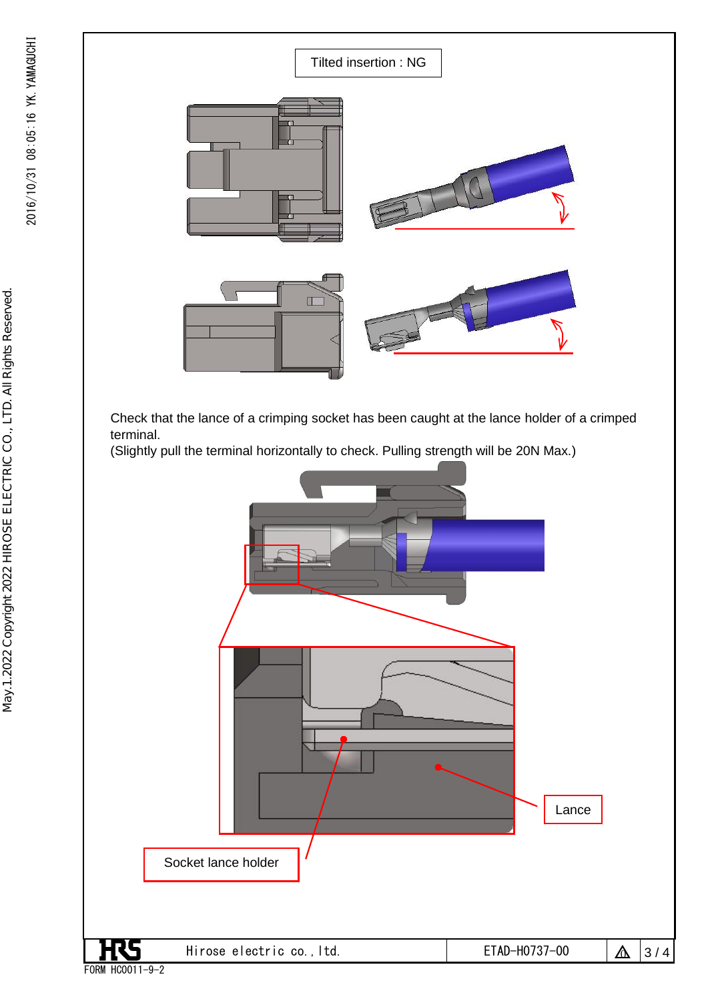May.1.2022 Copyright 2022 HIROSE ELECTRIC CO., LTD. All Rights Reserved.

May.1.2022 Copyright 2022 HIROSE ELECTRIC CO., LTD. All Rights Reserved.



 Check that the lance of a crimping socket has been caught at the lance holder of a crimped terminal.

(Slightly pull the terminal horizontally to check. Pulling strength will be 20N Max.)